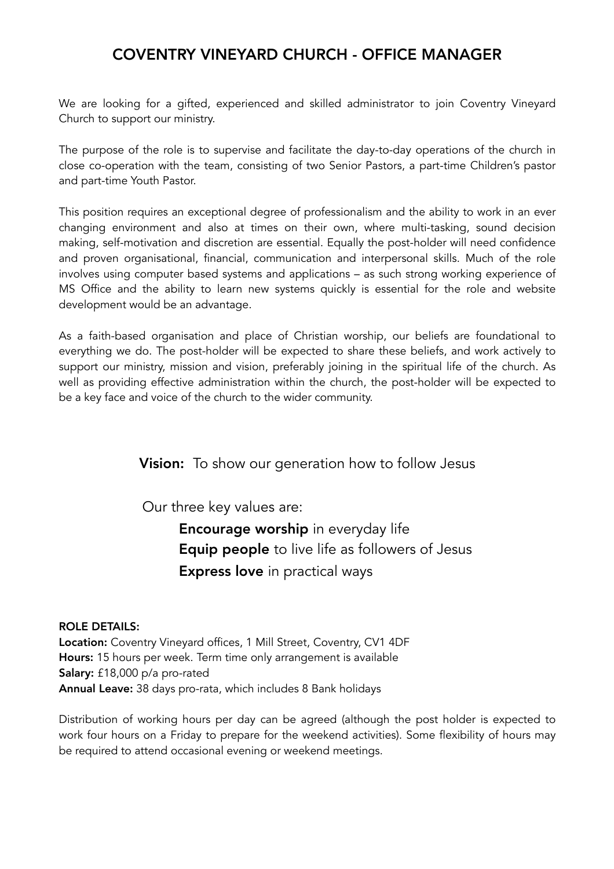# COVENTRY VINEYARD CHURCH - OFFICE MANAGER

We are looking for a gifted, experienced and skilled administrator to join Coventry Vineyard Church to support our ministry.

The purpose of the role is to supervise and facilitate the day-to-day operations of the church in close co-operation with the team, consisting of two Senior Pastors, a part-time Children's pastor and part-time Youth Pastor.

This position requires an exceptional degree of professionalism and the ability to work in an ever changing environment and also at times on their own, where multi-tasking, sound decision making, self-motivation and discretion are essential. Equally the post-holder will need confidence and proven organisational, financial, communication and interpersonal skills. Much of the role involves using computer based systems and applications – as such strong working experience of MS Office and the ability to learn new systems quickly is essential for the role and website development would be an advantage.

As a faith-based organisation and place of Christian worship, our beliefs are foundational to everything we do. The post-holder will be expected to share these beliefs, and work actively to support our ministry, mission and vision, preferably joining in the spiritual life of the church. As well as providing effective administration within the church, the post-holder will be expected to be a key face and voice of the church to the wider community.

**Vision:** To show our generation how to follow Jesus

Our three key values are:

 Encourage worship in everyday life Equip people to live life as followers of Jesus Express love in practical ways

## ROLE DETAILS:

Location: Coventry Vineyard offices, 1 Mill Street, Coventry, CV1 4DF Hours: 15 hours per week. Term time only arrangement is available Salary: £18,000 p/a pro-rated Annual Leave: 38 days pro-rata, which includes 8 Bank holidays

Distribution of working hours per day can be agreed (although the post holder is expected to work four hours on a Friday to prepare for the weekend activities). Some flexibility of hours may be required to attend occasional evening or weekend meetings.